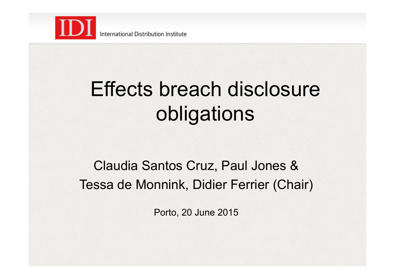

## Effects breach disclosure obligations

#### Claudia Santos Cruz, Paul Jones & Tessa de Monnink, Didier Ferrier (Chair)

Porto, 20 June 2015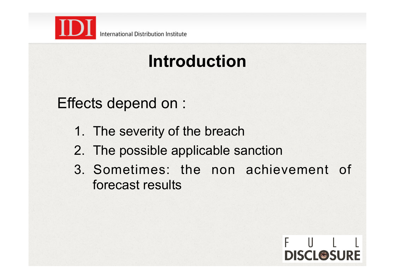

International Distribution Institute

### **Introduction**

Effects depend on :

- 1. The severity of the breach
- 2. The possible applicable sanction
- 3. Sometimes: the non achievement of forecast results

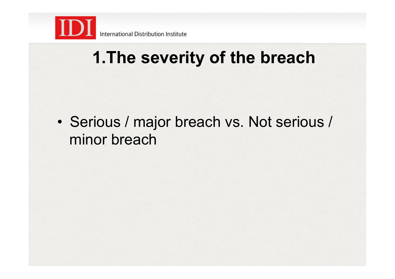

• Serious / major breach vs. Not serious / minor breach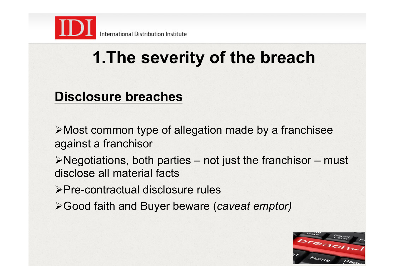

#### **Disclosure breaches**

 $\triangleright$  Most common type of allegation made by a franchisee against a franchisor

 $\triangleright$  Negotiations, both parties – not just the franchisor – must disclose all material facts

!Pre-contractual disclosure rules

!Good faith and Buyer beware (*caveat emptor)* 

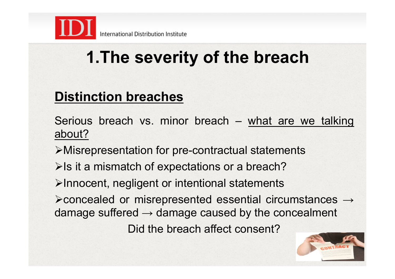

#### **Distinction breaches**

Serious breach vs. minor breach – what are we talking about?

!Misrepresentation for pre-contractual statements

 $\triangleright$  Is it a mismatch of expectations or a breach?

 $\blacktriangleright$ Innocent, negligent or intentional statements

!concealed or misrepresented essential circumstances → damage suffered  $\rightarrow$  damage caused by the concealment

Did the breach affect consent?

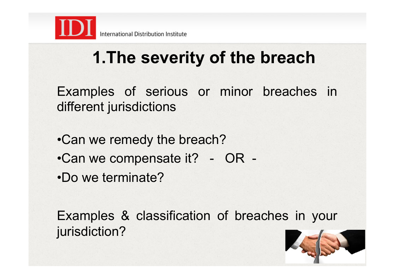

Examples of serious or minor breaches in different jurisdictions

- •Can we remedy the breach?
- •Can we compensate it? OR -
- •Do we terminate?

Examples & classification of breaches in your jurisdiction?

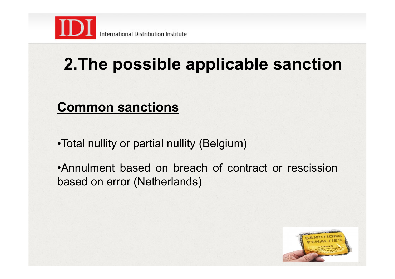

### **2.The possible applicable sanction**

#### **Common sanctions**

•Total nullity or partial nullity (Belgium)

•Annulment based on breach of contract or rescission based on error (Netherlands)

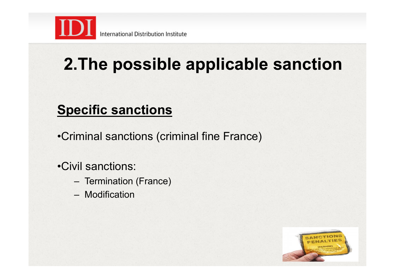

### **2.The possible applicable sanction**

#### **Specific sanctions**

•Criminal sanctions (criminal fine France)

•Civil sanctions:

- Termination (France)
- Modification

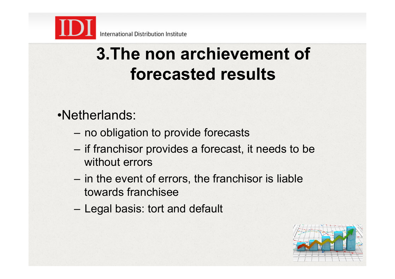

#### •Netherlands:

- no obligation to provide forecasts
- if franchisor provides a forecast, it needs to be without errors
- in the event of errors, the franchisor is liable towards franchisee
- Legal basis: tort and default

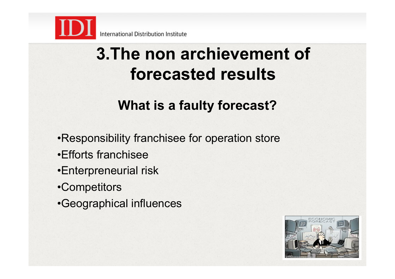

#### **What is a faulty forecast?**

- •Responsibility franchisee for operation store
- •Efforts franchisee
- •Enterpreneurial risk
- •Competitors
- •Geographical influences

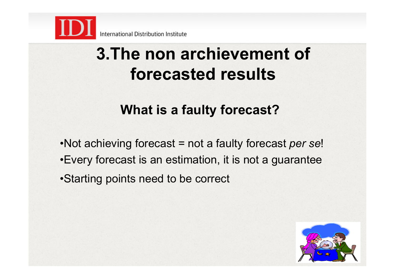

#### **What is a faulty forecast?**

•Not achieving forecast = not a faulty forecast *per se*!

- •Every forecast is an estimation, it is not a guarantee
- •Starting points need to be correct

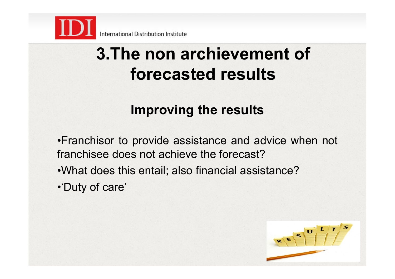

#### **Improving the results**

•Franchisor to provide assistance and advice when not franchisee does not achieve the forecast?

- •What does this entail; also financial assistance?
- •'Duty of care'

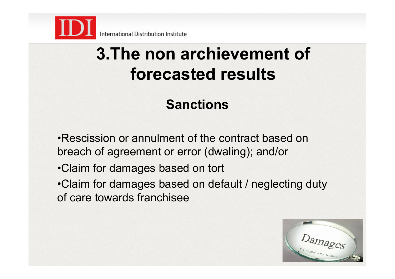

#### **Sanctions**

•Rescission or annulment of the contract based on breach of agreement or error (dwaling); and/or

- •Claim for damages based on tort
- •Claim for damages based on default / neglecting duty of care towards franchisee